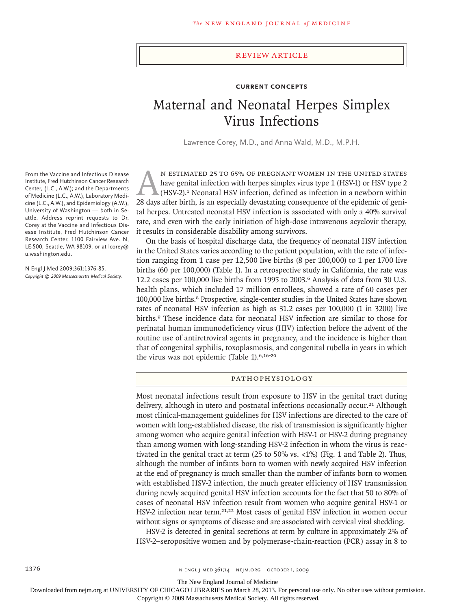#### review article

## **Current Concepts**

# Maternal and Neonatal Herpes Simplex Virus Infections

Lawrence Corey, M.D., and Anna Wald, M.D., M.P.H.

From the Vaccine and Infectious Disease Institute, Fred Hutchinson Cancer Research Center, (L.C., A.W.); and the Departments of Medicine (L.C., A.W.), Laboratory Medicine (L.C., A.W.), and Epidemiology (A.W.), University of Washington — both in Seattle. Address reprint requests to Dr. Corey at the Vaccine and Infectious Disease Institute, Fred Hutchinson Cancer Research Center, 1100 Fairview Ave. N, LE-500, Seattle, WA 98109, or at lcorey@ u.washington.edu.

N Engl J Med 2009;361:1376-85. *Copyright © 2009 Massachusetts Medical Society.*

N ESTIMATED 25 TO 65% OF PREGNANT WOMEN IN THE UNITED STATES<br>have genital infection with herpes simplex virus type 1 (HSV-1) or HSV type 2<br>(HSV-2).<sup>1</sup> Neonatal HSV infection, defined as infection in a newborn within<br>28 day have genital infection with herpes simplex virus type 1 (HSV-1) or HSV type 2 (HSV-2).1 Neonatal HSV infection, defined as infection in a newborn within 28 days after birth, is an especially devastating consequence of the epidemic of genital herpes. Untreated neonatal HSV infection is associated with only a 40% survival rate, and even with the early initiation of high-dose intravenous acyclovir therapy, it results in considerable disability among survivors.

On the basis of hospital discharge data, the frequency of neonatal HSV infection in the United States varies according to the patient population, with the rate of infection ranging from 1 case per 12,500 live births (8 per 100,000) to 1 per 1700 live births (60 per 100,000) (Table 1). In a retrospective study in California, the rate was 12.2 cases per 100,000 live births from 1995 to 2003.6 Analysis of data from 30 U.S. health plans, which included 17 million enrollees, showed a rate of 60 cases per 100,000 live births.8 Prospective, single-center studies in the United States have shown rates of neonatal HSV infection as high as 31.2 cases per 100,000 (1 in 3200) live births.9 These incidence data for neonatal HSV infection are similar to those for perinatal human immunodeficiency virus (HIV) infection before the advent of the routine use of antiretroviral agents in pregnancy, and the incidence is higher than that of congenital syphilis, toxoplasmosis, and congenital rubella in years in which the virus was not epidemic (Table 1).<sup>6,16-20</sup>

### Pathophysiology

Most neonatal infections result from exposure to HSV in the genital tract during delivery, although in utero and postnatal infections occasionally occur.<sup>21</sup> Although most clinical-management guidelines for HSV infections are directed to the care of women with long-established disease, the risk of transmission is significantly higher among women who acquire genital infection with HSV-1 or HSV-2 during pregnancy than among women with long-standing HSV-2 infection in whom the virus is reactivated in the genital tract at term  $(25 \text{ to } 50\% \text{ vs. } <1\%)$  (Fig. 1 and Table 2). Thus, although the number of infants born to women with newly acquired HSV infection at the end of pregnancy is much smaller than the number of infants born to women with established HSV-2 infection, the much greater efficiency of HSV transmission during newly acquired genital HSV infection accounts for the fact that 50 to 80% of cases of neonatal HSV infection result from women who acquire genital HSV-1 or HSV-2 infection near term.<sup>21,22</sup> Most cases of genital HSV infection in women occur without signs or symptoms of disease and are associated with cervical viral shedding.

HSV-2 is detected in genital secretions at term by culture in approximately 2% of HSV-2–seropositive women and by polymerase-chain-reaction (PCR) assay in 8 to

1376 **n engl j med 376** n engl j med 361;14 nejm.org october 1, 2009

The New England Journal of Medicine

Downloaded from nejm.org at UNIVERSITY OF CHICAGO LIBRARIES on March 28, 2013. For personal use only. No other uses without permission.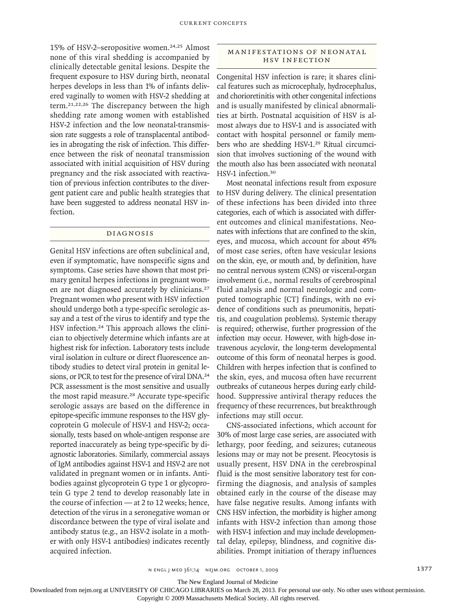15% of HSV-2–seropositive women.<sup>24,25</sup> Almost none of this viral shedding is accompanied by clinically detectable genital lesions. Despite the frequent exposure to HSV during birth, neonatal herpes develops in less than 1% of infants delivered vaginally to women with HSV-2 shedding at term.21,22,26 The discrepancy between the high shedding rate among women with established HSV-2 infection and the low neonatal-transmission rate suggests a role of transplacental antibodies in abrogating the risk of infection. This difference between the risk of neonatal transmission associated with initial acquisition of HSV during pregnancy and the risk associated with reactivation of previous infection contributes to the divergent patient care and public health strategies that have been suggested to address neonatal HSV infection.

#### Diagnosis

Genital HSV infections are often subclinical and, even if symptomatic, have nonspecific signs and symptoms. Case series have shown that most primary genital herpes infections in pregnant women are not diagnosed accurately by clinicians.<sup>27</sup> Pregnant women who present with HSV infection should undergo both a type-specific serologic assay and a test of the virus to identify and type the HSV infection.24 This approach allows the clinician to objectively determine which infants are at highest risk for infection. Laboratory tests include viral isolation in culture or direct fluorescence antibody studies to detect viral protein in genital lesions, or PCR to test for the presence of viral DNA.<sup>24</sup> PCR assessment is the most sensitive and usually the most rapid measure.<sup>28</sup> Accurate type-specific serologic assays are based on the difference in epitope-specific immune responses to the HSV glycoprotein G molecule of HSV-1 and HSV-2; occasionally, tests based on whole-antigen response are reported inaccurately as being type-specific by diagnostic laboratories. Similarly, commercial assays of IgM antibodies against HSV-1 and HSV-2 are not validated in pregnant women or in infants. Antibodies against glycoprotein G type 1 or glycoprotein G type 2 tend to develop reasonably late in the course of infection — at 2 to 12 weeks; hence, detection of the virus in a seronegative woman or discordance between the type of viral isolate and antibody status (e.g., an HSV-2 isolate in a mother with only HSV-1 antibodies) indicates recently acquired infection.

## MANIFESTATIONS OF NEONATAL HSV Infection

Congenital HSV infection is rare; it shares clinical features such as microcephaly, hydrocephalus, and chorioretinitis with other congenital infections and is usually manifested by clinical abnormalities at birth. Postnatal acquisition of HSV is almost always due to HSV-1 and is associated with contact with hospital personnel or family members who are shedding HSV-1.29 Ritual circumcision that involves suctioning of the wound with the mouth also has been associated with neonatal HSV-1 infection.<sup>30</sup>

Most neonatal infections result from exposure to HSV during delivery. The clinical presentation of these infections has been divided into three categories, each of which is associated with different outcomes and clinical manifestations. Neonates with infections that are confined to the skin, eyes, and mucosa, which account for about 45% of most case series, often have vesicular lesions on the skin, eye, or mouth and, by definition, have no central nervous system (CNS) or visceral-organ involvement (i.e., normal results of cerebrospinal fluid analysis and normal neurologic and computed tomographic [CT] findings, with no evidence of conditions such as pneumonitis, hepatitis, and coagulation problems). Systemic therapy is required; otherwise, further progression of the infection may occur. However, with high-dose intravenous acyclovir, the long-term developmental outcome of this form of neonatal herpes is good. Children with herpes infection that is confined to the skin, eyes, and mucosa often have recurrent outbreaks of cutaneous herpes during early childhood. Suppressive antiviral therapy reduces the frequency of these recurrences, but breakthrough infections may still occur.

CNS-associated infections, which account for 30% of most large case series, are associated with lethargy, poor feeding, and seizures; cutaneous lesions may or may not be present. Pleocytosis is usually present, HSV DNA in the cerebrospinal fluid is the most sensitive laboratory test for confirming the diagnosis, and analysis of samples obtained early in the course of the disease may have false negative results. Among infants with CNS HSV infection, the morbidity is higher among infants with HSV-2 infection than among those with HSV-1 infection and may include developmental delay, epilepsy, blindness, and cognitive disabilities. Prompt initiation of therapy influences

The New England Journal of Medicine

Downloaded from nejm.org at UNIVERSITY OF CHICAGO LIBRARIES on March 28, 2013. For personal use only. No other uses without permission.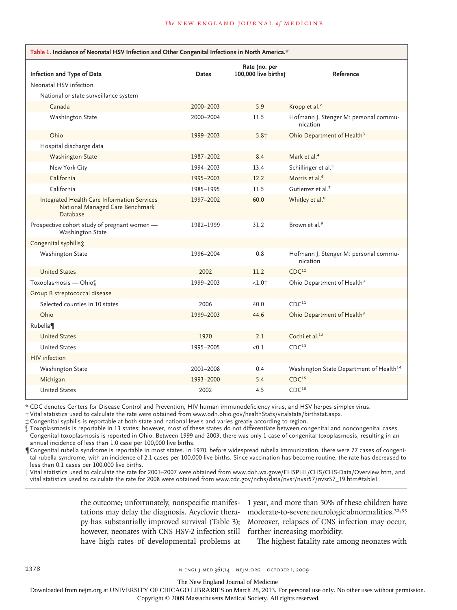| Table 1. Incidence of Neonatal HSV Infection and Other Congenital Infections in North America.* |              |                                       |                                                     |  |  |  |
|-------------------------------------------------------------------------------------------------|--------------|---------------------------------------|-----------------------------------------------------|--|--|--|
| Infection and Type of Data                                                                      | <b>Dates</b> | Rate (no. per<br>100,000 live births) | Reference                                           |  |  |  |
| Neonatal HSV infection                                                                          |              |                                       |                                                     |  |  |  |
| National or state surveillance system                                                           |              |                                       |                                                     |  |  |  |
| Canada                                                                                          | 2000-2003    | 5.9                                   | Kropp et al. <sup>2</sup>                           |  |  |  |
| Washington State                                                                                | 2000-2004    | 11.5                                  | Hofmann J, Stenger M: personal commu-<br>nication   |  |  |  |
| Ohio                                                                                            | 1999-2003    | 5.8 <sub>1</sub>                      | Ohio Department of Health <sup>3</sup>              |  |  |  |
| Hospital discharge data                                                                         |              |                                       |                                                     |  |  |  |
| <b>Washington State</b>                                                                         | 1987-2002    | 8.4                                   | Mark et al. <sup>4</sup>                            |  |  |  |
| New York City                                                                                   | 1994-2003    | 13.4                                  | Schillinger et al. <sup>5</sup>                     |  |  |  |
| California                                                                                      | 1995-2003    | 12.2                                  | Morris et al. <sup>6</sup>                          |  |  |  |
| California                                                                                      | 1985-1995    | 11.5                                  | Gutierrez et al. <sup>7</sup>                       |  |  |  |
| Integrated Health Care Information Services<br>National Managed Care Benchmark<br>Database      | 1997-2002    | 60.0                                  | Whitley et al. <sup>8</sup>                         |  |  |  |
| Prospective cohort study of pregnant women -<br>Washington State                                | 1982-1999    | 31.2                                  | Brown et al. <sup>9</sup>                           |  |  |  |
| Congenital syphilis;                                                                            |              |                                       |                                                     |  |  |  |
| Washington State                                                                                | 1996-2004    | 0.8                                   | Hofmann J, Stenger M: personal commu-<br>nication   |  |  |  |
| <b>United States</b>                                                                            | 2002         | 11.2                                  | CDC <sup>10</sup>                                   |  |  |  |
| Toxoplasmosis - Ohios                                                                           | 1999-2003    | $<1.0$ <sup>+</sup>                   | Ohio Department of Health <sup>3</sup>              |  |  |  |
| Group B streptococcal disease                                                                   |              |                                       |                                                     |  |  |  |
| Selected counties in 10 states                                                                  | 2006         | 40.0                                  | CDC <sup>11</sup>                                   |  |  |  |
| Ohio                                                                                            | 1999-2003    | 44.6                                  | Ohio Department of Health <sup>3</sup>              |  |  |  |
| Rubella                                                                                         |              |                                       |                                                     |  |  |  |
| <b>United States</b>                                                                            | 1970         | 2.1                                   | Cochi et al. <sup>12</sup>                          |  |  |  |
| <b>United States</b>                                                                            | 1995-2005    | < 0.1                                 | CDC <sup>13</sup>                                   |  |  |  |
| HIV infection                                                                                   |              |                                       |                                                     |  |  |  |
| Washington State                                                                                | 2001-2008    | 0.4                                   | Washington State Department of Health <sup>14</sup> |  |  |  |
| Michigan                                                                                        | 1993-2000    | 5.4                                   | CDC <sup>15</sup>                                   |  |  |  |
| <b>United States</b>                                                                            | 2002         | 4.5                                   | CDC <sup>16</sup>                                   |  |  |  |

\* CDC denotes Centers for Disease Control and Prevention, HIV human immunodeficiency virus, and HSV herpes simplex virus.

† Vital statistics used to calculate the rate were obtained from www.odh.ohio.gov/healthStats/vitalstats/birthstat.aspx.

‡ Congenital syphilis is reportable at both state and national levels and varies greatly according to region.

§ Toxoplasmosis is reportable in 13 states; however, most of these states do not differentiate between congenital and noncongenital cases. Congenital toxoplasmosis is reported in Ohio. Between 1999 and 2003, there was only 1 case of congenital toxoplasmosis, resulting in an annual incidence of less than 1.0 case per 100,000 live births.

¶Congenital rubella syndrome is reportable in most states. In 1970, before widespread rubella immunization, there were 77 cases of congenital rubella syndrome, with an incidence of 2.1 cases per 100,000 live births. Since vaccination has become routine, the rate has decreased to less than 0.1 cases per 100,000 live births.

‖ Vital statistics used to calculate the rate for 2001–2007 were obtained from www.doh.wa.gove/EHSPHL/CHS/CHS-Data/Overview.htm, and vital statistics used to calculate the rate for 2008 were obtained from www.cdc.gov/nchs/data/nvsr/nvsr57/nvsr57\_19.htm#table1.

> the outcome; unfortunately, nonspecific manifestations may delay the diagnosis. Acyclovir therapy has substantially improved survival (Table 3); however, neonates with CNS HSV-2 infection still further increasing morbidity. have high rates of developmental problems at

1 year, and more than 50% of these children have moderate-to-severe neurologic abnormalities.32,33 Moreover, relapses of CNS infection may occur,

The highest fatality rate among neonates with

The New England Journal of Medicine

Downloaded from nejm.org at UNIVERSITY OF CHICAGO LIBRARIES on March 28, 2013. For personal use only. No other uses without permission.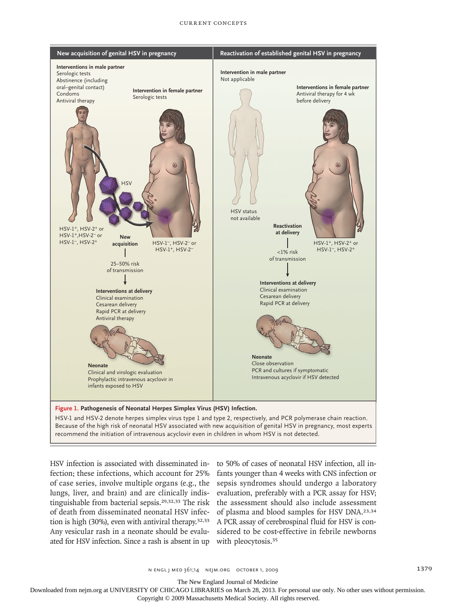#### Current Concepts



HSV infection is associated with disseminated in- to 50% of cases of neonatal HSV infection, all infection; these infections, which account for 25% of case series, involve multiple organs (e.g., the lungs, liver, and brain) and are clinically indistinguishable from bacterial sepsis.<sup>29,32,33</sup> The risk of death from disseminated neonatal HSV infection is high (30%), even with antiviral therapy.<sup>32,33</sup> Any vesicular rash in a neonate should be evaluated for HSV infection. Since a rash is absent in up with pleocytosis.<sup>35</sup>

fants younger than 4 weeks with CNS infection or ME sepsis syndromes should undergo a laboratory DE evaluation, preferably with a PCR assay for HSV; the assessment should also include assessment of plasma and blood samples for HSV DNA.<sup>23,34</sup> A PCR assay of cerebrospinal fluid for HSV is considered to be cost-effective in febrile newborns should underg vitil Cive<br>T

The New England Journal of Medicine

Downloaded from nejm.org at UNIVERSITY OF CHICAGO LIBRARIES on March 28, 2013. For personal use only. No other uses without permission.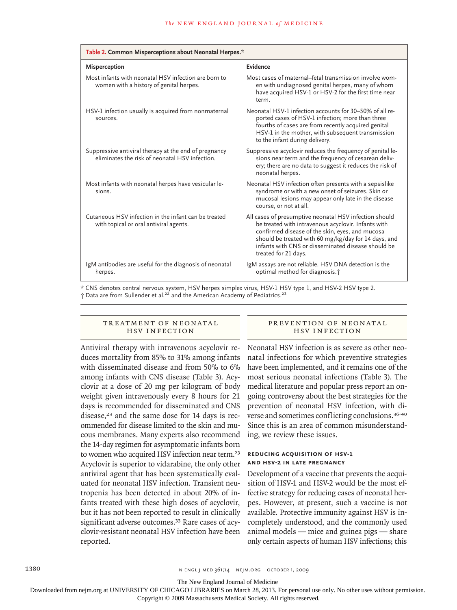| Table 2. Common Misperceptions about Neonatal Herpes.*                                                  |                                                                                                                                                                                                                                                                                                        |  |  |  |
|---------------------------------------------------------------------------------------------------------|--------------------------------------------------------------------------------------------------------------------------------------------------------------------------------------------------------------------------------------------------------------------------------------------------------|--|--|--|
| Misperception                                                                                           | Evidence                                                                                                                                                                                                                                                                                               |  |  |  |
| Most infants with neonatal HSV infection are born to<br>women with a history of genital herpes.         | Most cases of maternal-fetal transmission involve wom-<br>en with undiagnosed genital herpes, many of whom<br>have acquired HSV-1 or HSV-2 for the first time near<br>term.                                                                                                                            |  |  |  |
| HSV-1 infection usually is acquired from nonmaternal<br>sources.                                        | Neonatal HSV-1 infection accounts for 30–50% of all re-<br>ported cases of HSV-1 infection; more than three<br>fourths of cases are from recently acquired genital<br>HSV-1 in the mother, with subsequent transmission<br>to the infant during delivery.                                              |  |  |  |
| Suppressive antiviral therapy at the end of pregnancy<br>eliminates the risk of neonatal HSV infection. | Suppressive acyclovir reduces the frequency of genital le-<br>sions near term and the frequency of cesarean deliv-<br>ery; there are no data to suggest it reduces the risk of<br>neonatal herpes.                                                                                                     |  |  |  |
| Most infants with neonatal herpes have vesicular le-<br>sions.                                          | Neonatal HSV infection often presents with a sepsislike<br>syndrome or with a new onset of seizures. Skin or<br>mucosal lesions may appear only late in the disease<br>course, or not at all.                                                                                                          |  |  |  |
| Cutaneous HSV infection in the infant can be treated<br>with topical or oral antiviral agents.          | All cases of presumptive neonatal HSV infection should<br>be treated with intravenous acyclovir. Infants with<br>confirmed disease of the skin, eyes, and mucosa<br>should be treated with 60 mg/kg/day for 14 days, and<br>infants with CNS or disseminated disease should be<br>treated for 21 days. |  |  |  |
| IgM antibodies are useful for the diagnosis of neonatal<br>herpes.                                      | IgM assays are not reliable. HSV DNA detection is the<br>optimal method for diagnosis. <sup>†</sup>                                                                                                                                                                                                    |  |  |  |
|                                                                                                         |                                                                                                                                                                                                                                                                                                        |  |  |  |

\* CNS denotes central nervous system, HSV herpes simplex virus, HSV-1 HSV type 1, and HSV-2 HSV type 2.  $\dagger$  Data are from Sullender et al.<sup>22</sup> and the American Academy of Pediatrics.<sup>23</sup>

## TREATMENT OF NEONATAL HSV Infection

Antiviral therapy with intravenous acyclovir reduces mortality from 85% to 31% among infants with disseminated disease and from 50% to 6% among infants with CNS disease (Table 3). Acyclovir at a dose of 20 mg per kilogram of body weight given intravenously every 8 hours for 21 days is recommended for disseminated and CNS disease,<sup>23</sup> and the same dose for 14 days is recommended for disease limited to the skin and mucous membranes. Many experts also recommend the 14-day regimen for asymptomatic infants born to women who acquired HSV infection near term.<sup>23</sup> Acyclovir is superior to vidarabine, the only other antiviral agent that has been systematically evaluated for neonatal HSV infection. Transient neutropenia has been detected in about 20% of infants treated with these high doses of acyclovir, but it has not been reported to result in clinically significant adverse outcomes.<sup>33</sup> Rare cases of acyclovir-resistant neonatal HSV infection have been reported.

#### PR EVENTION OF NEONATAL HSV Infection

Neonatal HSV infection is as severe as other neonatal infections for which preventive strategies have been implemented, and it remains one of the most serious neonatal infections (Table 3). The medical literature and popular press report an ongoing controversy about the best strategies for the prevention of neonatal HSV infection, with diverse and sometimes conflicting conclusions.36-40 Since this is an area of common misunderstanding, we review these issues.

#### **Reducing Acquisition of HSV-1 and HSV-2 in Late Pregnancy**

Development of a vaccine that prevents the acquisition of HSV-1 and HSV-2 would be the most effective strategy for reducing cases of neonatal herpes. However, at present, such a vaccine is not available. Protective immunity against HSV is incompletely understood, and the commonly used animal models — mice and guinea pigs — share only certain aspects of human HSV infections; this

The New England Journal of Medicine

Downloaded from nejm.org at UNIVERSITY OF CHICAGO LIBRARIES on March 28, 2013. For personal use only. No other uses without permission.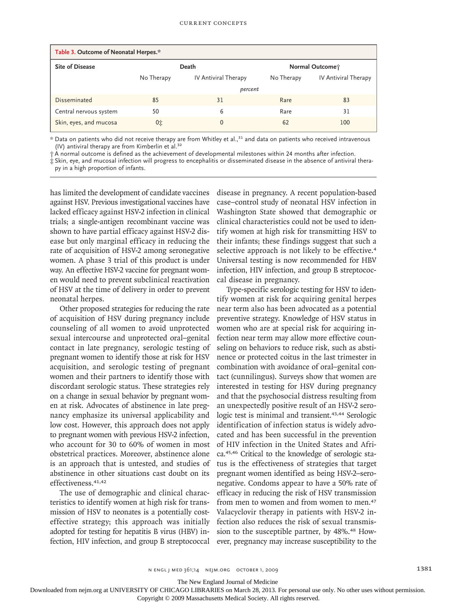| Table 3. Outcome of Neonatal Herpes.* |            |                      |            |                      |  |  |
|---------------------------------------|------------|----------------------|------------|----------------------|--|--|
| <b>Site of Disease</b>                |            | Death                |            | Normal Outcome;      |  |  |
|                                       | No Therapy | IV Antiviral Therapy | No Therapy | IV Antiviral Therapy |  |  |
|                                       | percent    |                      |            |                      |  |  |
| Disseminated                          | 85         | 31                   | Rare       | 83                   |  |  |
| Central nervous system                | 50         | 6                    | Rare       | 31                   |  |  |
| Skin, eyes, and mucosa                | 0‡         | $\Omega$             | 62         | 100                  |  |  |

\* Data on patients who did not receive therapy are from Whitley et al.,31 and data on patients who received intravenous (IV) antiviral therapy are from Kimberlin et al. $32$ 

† A normal outcome is defined as the achievement of developmental milestones within 24 months after infection.

‡ Skin, eye, and mucosal infection will progress to encephalitis or disseminated disease in the absence of antiviral therapy in a high proportion of infants.

has limited the development of candidate vaccines against HSV. Previous investigational vaccines have lacked efficacy against HSV-2 infection in clinical trials; a single-antigen recombinant vaccine was shown to have partial efficacy against HSV-2 disease but only marginal efficacy in reducing the rate of acquisition of HSV-2 among seronegative women. A phase 3 trial of this product is under way. An effective HSV-2 vaccine for pregnant women would need to prevent subclinical reactivation of HSV at the time of delivery in order to prevent neonatal herpes.

Other proposed strategies for reducing the rate of acquisition of HSV during pregnancy include counseling of all women to avoid unprotected sexual intercourse and unprotected oral–genital contact in late pregnancy, serologic testing of pregnant women to identify those at risk for HSV acquisition, and serologic testing of pregnant women and their partners to identify those with discordant serologic status. These strategies rely on a change in sexual behavior by pregnant women at risk. Advocates of abstinence in late pregnancy emphasize its universal applicability and low cost. However, this approach does not apply to pregnant women with previous HSV-2 infection, who account for 30 to 60% of women in most obstetrical practices. Moreover, abstinence alone is an approach that is untested, and studies of abstinence in other situations cast doubt on its effectiveness.<sup>41,42</sup>

The use of demographic and clinical characteristics to identify women at high risk for transmission of HSV to neonates is a potentially costeffective strategy; this approach was initially adopted for testing for hepatitis B virus (HBV) infection, HIV infection, and group B streptococcal disease in pregnancy. A recent population-based case–control study of neonatal HSV infection in Washington State showed that demographic or clinical characteristics could not be used to identify women at high risk for transmitting HSV to their infants; these findings suggest that such a selective approach is not likely to be effective.<sup>4</sup> Universal testing is now recommended for HBV infection, HIV infection, and group B streptococcal disease in pregnancy.

Type-specific serologic testing for HSV to identify women at risk for acquiring genital herpes near term also has been advocated as a potential preventive strategy. Knowledge of HSV status in women who are at special risk for acquiring infection near term may allow more effective counseling on behaviors to reduce risk, such as abstinence or protected coitus in the last trimester in combination with avoidance of oral–genital contact (cunnilingus). Surveys show that women are interested in testing for HSV during pregnancy and that the psychosocial distress resulting from an unexpectedly positive result of an HSV-2 serologic test is minimal and transient.<sup>43,44</sup> Serologic identification of infection status is widely advocated and has been successful in the prevention of HIV infection in the United States and Africa.45,46 Critical to the knowledge of serologic status is the effectiveness of strategies that target pregnant women identified as being HSV-2–seronegative. Condoms appear to have a 50% rate of efficacy in reducing the risk of HSV transmission from men to women and from women to men.<sup>47</sup> Valacyclovir therapy in patients with HSV-2 infection also reduces the risk of sexual transmission to the susceptible partner, by 48%.48 However, pregnancy may increase susceptibility to the

The New England Journal of Medicine

Downloaded from nejm.org at UNIVERSITY OF CHICAGO LIBRARIES on March 28, 2013. For personal use only. No other uses without permission.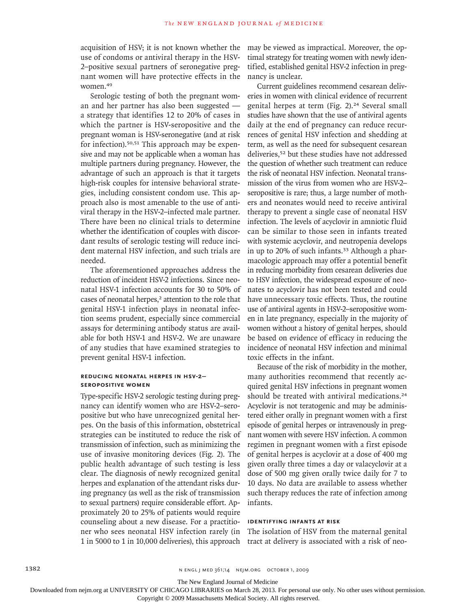acquisition of HSV; it is not known whether the use of condoms or antiviral therapy in the HSV-2–positive sexual partners of seronegative pregnant women will have protective effects in the women.<sup>49</sup>

Serologic testing of both the pregnant woman and her partner has also been suggested a strategy that identifies 12 to 20% of cases in which the partner is HSV-seropositive and the pregnant woman is HSV-seronegative (and at risk for infection).50,51 This approach may be expensive and may not be applicable when a woman has multiple partners during pregnancy. However, the advantage of such an approach is that it targets high-risk couples for intensive behavioral strategies, including consistent condom use. This approach also is most amenable to the use of antiviral therapy in the HSV-2–infected male partner. There have been no clinical trials to determine whether the identification of couples with discordant results of serologic testing will reduce incident maternal HSV infection, and such trials are needed.

The aforementioned approaches address the reduction of incident HSV-2 infections. Since neonatal HSV-1 infection accounts for 30 to 50% of cases of neonatal herpes,<sup>2</sup> attention to the role that genital HSV-1 infection plays in neonatal infection seems prudent, especially since commercial assays for determining antibody status are available for both HSV-1 and HSV-2. We are unaware of any studies that have examined strategies to prevent genital HSV-1 infection.

### **Reducing Neonatal Herpes in HSV-2– Seropositive Women**

Type-specific HSV-2 serologic testing during pregnancy can identify women who are HSV-2–seropositive but who have unrecognized genital herpes. On the basis of this information, obstetrical strategies can be instituted to reduce the risk of transmission of infection, such as minimizing the use of invasive monitoring devices (Fig. 2). The public health advantage of such testing is less clear. The diagnosis of newly recognized genital herpes and explanation of the attendant risks during pregnancy (as well as the risk of transmission to sexual partners) require considerable effort. Approximately 20 to 25% of patients would require counseling about a new disease. For a practitioner who sees neonatal HSV infection rarely (in 1 in 5000 to 1 in 10,000 deliveries), this approach

may be viewed as impractical. Moreover, the optimal strategy for treating women with newly identified, established genital HSV-2 infection in pregnancy is unclear.

Current guidelines recommend cesarean deliveries in women with clinical evidence of recurrent genital herpes at term (Fig. 2).<sup>24</sup> Several small studies have shown that the use of antiviral agents daily at the end of pregnancy can reduce recurrences of genital HSV infection and shedding at term, as well as the need for subsequent cesarean deliveries,52 but these studies have not addressed the question of whether such treatment can reduce the risk of neonatal HSV infection. Neonatal transmission of the virus from women who are HSV-2– seropositive is rare; thus, a large number of mothers and neonates would need to receive antiviral therapy to prevent a single case of neonatal HSV infection. The levels of acyclovir in amniotic fluid can be similar to those seen in infants treated with systemic acyclovir, and neutropenia develops in up to 20% of such infants.33 Although a pharmacologic approach may offer a potential benefit in reducing morbidity from cesarean deliveries due to HSV infection, the widespread exposure of neonates to acyclovir has not been tested and could have unnecessary toxic effects. Thus, the routine use of antiviral agents in HSV-2–seropositive women in late pregnancy, especially in the majority of women without a history of genital herpes, should be based on evidence of efficacy in reducing the incidence of neonatal HSV infection and minimal toxic effects in the infant.

Because of the risk of morbidity in the mother, many authorities recommend that recently acquired genital HSV infections in pregnant women should be treated with antiviral medications.<sup>24</sup> Acyclovir is not teratogenic and may be administered either orally in pregnant women with a first episode of genital herpes or intravenously in pregnant women with severe HSV infection. A common regimen in pregnant women with a first episode of genital herpes is acyclovir at a dose of 400 mg given orally three times a day or valacyclovir at a dose of 500 mg given orally twice daily for 7 to 10 days. No data are available to assess whether such therapy reduces the rate of infection among infants.

## **Identifying Infants at Risk**

The isolation of HSV from the maternal genital tract at delivery is associated with a risk of neo-

The New England Journal of Medicine

Downloaded from nejm.org at UNIVERSITY OF CHICAGO LIBRARIES on March 28, 2013. For personal use only. No other uses without permission.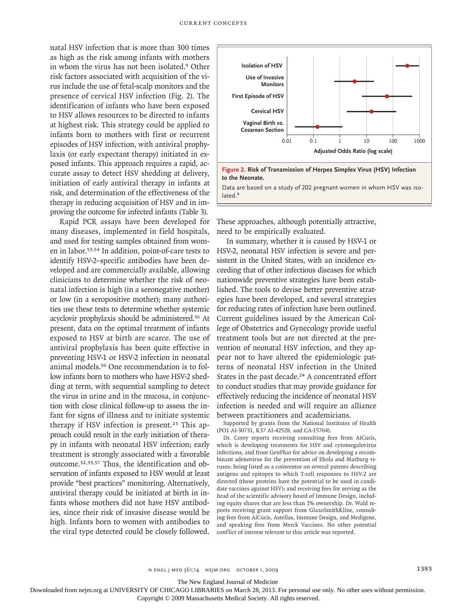natal HSV infection that is more than 300 times as high as the risk among infants with mothers in whom the virus has not been isolated.9 Other risk factors associated with acquisition of the virus include the use of fetal-scalp monitors and the presence of cervical HSV infection (Fig. 2). The identification of infants who have been exposed to HSV allows resources to be directed to infants at highest risk. This strategy could be applied to infants born to mothers with first or recurrent episodes of HSV infection, with antiviral prophylaxis (or early expectant therapy) initiated in exposed infants. This approach requires a rapid, accurate assay to detect HSV shedding at delivery, initiation of early antiviral therapy in infants at risk, and determination of the effectiveness of the therapy in reducing acquisition of HSV and in improving the outcome for infected infants (Table 3).

Rapid PCR assays have been developed for many diseases, implemented in field hospitals, and used for testing samples obtained from women in labor.53,54 In addition, point-of-care tests to identify HSV-2–specific antibodies have been developed and are commercially available, allowing clinicians to determine whether the risk of neonatal infection is high (in a seronegative mother) or low (in a seropositive mother); many authorities use these tests to determine whether systemic acyclovir prophylaxis should be administered.55 At present, data on the optimal treatment of infants exposed to HSV at birth are scarce. The use of antiviral prophylaxis has been quite effective in preventing HSV-1 or HSV-2 infection in neonatal animal models.56 One recommendation is to follow infants born to mothers who have HSV-2 shedding at term, with sequential sampling to detect the virus in urine and in the mucosa, in conjunction with close clinical follow-up to assess the infant for signs of illness and to initiate systemic therapy if HSV infection is present.<sup>23</sup> This approach could result in the early initiation of therapy in infants with neonatal HSV infection; early treatment is strongly associated with a favorable outcome.32,33,57 Thus, the identification and observation of infants exposed to HSV would at least provide "best practices" monitoring. Alternatively, antiviral therapy could be initiated at birth in infants whose mothers did not have HSV antibodies, since their risk of invasive disease would be high. Infants born to women with antibodies to the viral type detected could be closely followed.



Figure 2. Risk of Transmission of Herpes Simplex Virus (HSV) Infection<br>to the Neonate.

to the reomete:<br>Data are based on a study of 202 pregnant women in whom HSV was iso-**SIZE** lated.<sup>9</sup>

 $\overline{\phantom{a}}$ 

22p3

 $\overline{\phantom{a}}$ 

These approaches, although potentially attractive, need to be empirically evaluated.

ARTIST: ts

In summary, whether it is caused by HSV-1 or HSV-2, neonatal HSV infection is severe and persistent in the United States, with an incidence exceeding that of other infectious diseases for which nationwide preventive strategies have been established. The tools to devise better preventive strategies have been developed, and several strategies for reducing rates of infection have been outlined. Current guidelines issued by the American College of Obstetrics and Gynecology provide useful treatment tools but are not directed at the prevention of neonatal HSV infection, and they appear not to have altered the epidemiologic patterns of neonatal HSV infection in the United States in the past decade.<sup>24</sup> A concentrated effort to conduct studies that may provide guidance for effectively reducing the incidence of neonatal HSV infection is needed and will require an alliance between practitioners and academicians.

Supported by grants from the National Institutes of Health (PO1 AI-30731, R37 AI-42528, and CA-15704).

Dr. Corey reports receiving consulting fees from AiCuris, which is developing treatments for HSV and cytomegalovirus infections, and from GenPhar for advice on developing a recombinant adenovirus for the prevention of Ebola and Marburg viruses; being listed as a coinventor on several patents describing antigens and epitopes to which T-cell responses to HSV-2 are directed (these proteins have the potential to be used in candidate vaccines against HSV); and receiving fees for serving as the head of the scientific advisory board of Immune Design, including equity shares that are less than 1% ownership. Dr. Wald reports receiving grant support from GlaxoSmithKline, consulting fees from AiCuris, Astellas, Immune Design, and Medigene, and speaking fees from Merck Vaccines. No other potential conflict of interest relevant to this article was reported.

The New England Journal of Medicine

Downloaded from nejm.org at UNIVERSITY OF CHICAGO LIBRARIES on March 28, 2013. For personal use only. No other uses without permission.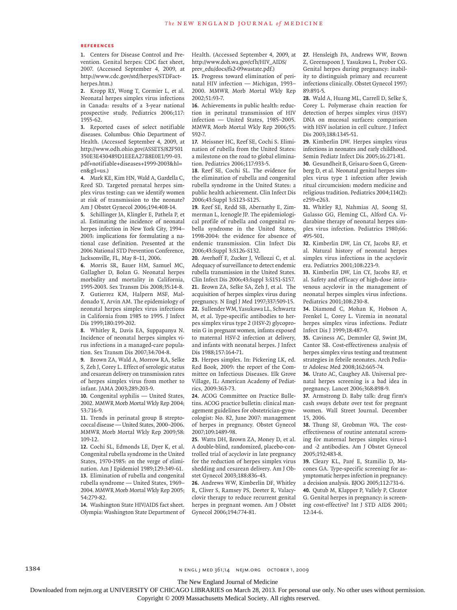#### **References**

**1.** Centers for Disease Control and Prevention. Genital herpes: CDC fact sheet, 2007. (Accessed September 4, 2009, at http://www.cdc.gov/std/herpes/STDFactherpes.htm.)

**2.** Kropp RY, Wong T, Cormier L, et al. Neonatal herpes simplex virus infections in Canada: results of a 3-year national prospective study. Pediatrics 2006;117: 1955-62.

**3.** Reported cases of select notifiable diseases. Columbus: Ohio Department of Health. (Accessed September 4, 2009, at http://www.odh.ohio.gov/ASSETS/82F501 350E3E430489D1EEEA27B8E0E1/99-03. pdf+notifiable+diseases+1999-2003&hl= en&g1=us.)

**4.** Mark KE, Kim HN, Wald A, Gardella C, Reed SD. Targeted prenatal herpes simplex virus testing: can we identify women at risk of transmission to the neonate? Am J Obstet Gynecol 2006;194:408-14.

**5.** Schillinger JA, Klingler E, Pathela P, et al. Estimating the incidence of neonatal herpes infection in New York City, 1994– 2003: implications for formulating a national case definition. Presented at the 2006 National STD Prevention Conference, Jacksonville, FL, May 8–11, 2006.

**6.** Morris SR, Bauer HM, Samuel MC, Gallagher D, Bolan G. Neonatal herpes morbidity and mortality in California, 1995-2003. Sex Transm Dis 2008;35:14-8. **7.** Gutierrez KM, Halpern MSF, Maldonado Y, Arvin AM. The epidemiology of neonatal herpes simplex virus infections in California from 1985 to 1995. J Infect Dis 1999;180:199-202.

**8.** Whitley R, Davis EA, Suppapanya N. Incidence of neonatal herpes simplex virus infections in a managed-care population. Sex Transm Dis 2007;34:704-8.

**9.** Brown ZA, Wald A, Morrow RA, Selke S, Zeh J, Corey L. Effect of serologic status and cesarean delivery on transmission rates of herpes simplex virus from mother to infant. JAMA 2003;289:203-9.

**10.** Congenital syphilis — United States, 2002. MMWR Morb Mortal Wkly Rep 2004; 53:716-9.

**11.** Trends in perinatal group B streptococcal disease — United States, 2000–2006. MMWR Morb Mortal Wkly Rep 2009;58: 109-12.

**12.** Cochi SL, Edmonds LE, Dyer K, et al. Congenital rubella syndrome in the United States, 1970-1985: on the verge of elimination. Am J Epidemiol 1989;129:349-61. **13.** Elimination of rubella and congenital rubella syndrome — United States, 1969– 2004. MMWR Morb Mortal Wkly Rep 2005; 54:279-82.

**14.** Washington State HIV/AIDS fact sheet. Olympia: Washington State Department of Health. (Accessed September 4, 2009, at http://www.doh.wa.gov/cfh/HIV\_AIDS/ prev\_edu/docs/fs2-09wastate.pdf.)

**15.** Progress toward elimination of perinatal HIV infection — Michigan, 1993– 2000. MMWR Morb Mortal Wkly Rep 2002;51:93-7.

**16.** Achievements in public health: reduction in perinatal transmission of HIV infection — United States, 1985–2005. MMWR Morb Mortal Wkly Rep 2006;55: 592-7.

**17.** Meissner HC, Reef SE, Cochi S. Elimination of rubella from the United States: a milestone on the road to global elimination. Pediatrics 2006;117:933-5.

**18.** Reef SE, Cochi SL. The evidence for the elimination of rubella and congenital rubella syndrome in the United States: a public health achievement. Clin Infect Dis 2006;43:Suppl 3:S123-S125.

**19.** Reef SE, Redd SB, Abernathy E, Zimmerman L, Icenogle JP. The epidemiological profile of rubella and congenital rubella syndrome in the United States, 1998-2004: the evidence for absence of endemic transmission. Clin Infect Dis 2006;43:Suppl 3:S126-S132.

**20.** Averhoff F, Zucker J, Vellozzi C, et al. Adequacy of surveillance to detect endemic rubella transmission in the United States. Clin Infect Dis 2006;43:Suppl 3:S151-S157. **21.** Brown ZA, Selke SA, Zeh J, et al. The acquisition of herpes simplex virus during pregnancy. N Engl J Med 1997;337:509-15. **22.** Sullender WM, Yasukawa LL, Schwartz M, et al. Type-specific antibodies to herpes simplex virus type 2 (HSV-2) glycoprotein G in pregnant women, infants exposed to maternal HSV-2 infection at delivery, and infants with neonatal herpes. J Infect Dis 1988;157:164-71.

**23.** Herpes simplex. In: Pickering LK, ed. Red Book, 2009: the report of the Committee on Infectious Diseases. Elk Grove Village, IL: American Academy of Pediatrics, 2009:363-73.

**24.** ACOG Committee on Practice Bulletins. ACOG practice bulletin: clinical management guidelines for obstetrician-gynecologist: No. 82, June 2007: management of herpes in pregnancy. Obstet Gynecol 2007;109:1489-98.

**25.** Watts DH, Brown ZA, Money D, et al. A double-blind, randomized, placebo-controlled trial of acyclovir in late pregnancy for the reduction of herpes simplex virus shedding and cesarean delivery. Am J Obstet Gynecol 2003;188:836-43.

**26.** Andrews WW, Kimberlin DF, Whitley R, Cliver S, Ramsey PS, Deeter R. Valacyclovir therapy to reduce recurrent genital herpes in pregnant women. Am J Obstet Gynecol 2006;194:774-81.

**27.** Hensleigh PA, Andrews WW, Brown Z, Greenspoon J, Yasukawa L, Prober CG. Genital herpes during pregnancy: inability to distinguish primary and recurrent infections clinically. Obstet Gynecol 1997; 89:891-5.

**28.** Wald A, Huang ML, Carrell D, Selke S, Corey L. Polymerase chain reaction for detection of herpes simplex virus (HSV) DNA on mucosal surfaces: comparison with HSV isolation in cell culture. J Infect Dis 2003;188:1345-51.

**29.** Kimberlin DW. Herpes simplex virus infections in neonates and early childhood. Semin Pediatr Infect Dis 2005;16:271-81.

**30.** Gesundheit B, Grisaru-Soen G, Greenberg D, et al. Neonatal genital herpes simplex virus type 1 infection after Jewish ritual circumcision: modern medicine and religious tradition. Pediatrics 2004;114(2): e259-e263.

**31.** Whitley RJ, Nahmias AJ, Soong SJ, Galasso GG, Fleming CL, Alford CA. Vidarabine therapy of neonatal herpes simplex virus infection. Pediatrics 1980;66: 495-501.

**32.** Kimberlin DW, Lin CY, Jacobs RF, et al. Natural history of neonatal herpes simplex virus infections in the acyclovir era. Pediatrics 2001;108:223-9.

**33.** Kimberlin DW, Lin CY, Jacobs RF, et al. Safety and efficacy of high-dose intravenous acyclovir in the management of neonatal herpes simplex virus infections. Pediatrics 2001;108:230-8.

**34.** Diamond C, Mohan K, Hobson A, Frenkel L, Corey L. Viremia in neonatal herpes simplex virus infections. Pediatr Infect Dis J 1999;18:487-9.

**35.** Caviness AC, Demmler GJ, Swint JM, Cantor SB. Cost-effectiveness analysis of herpes simplex virus testing and treatment strategies in febrile neonates. Arch Pediatr Adolesc Med 2008;162:665-74.

**36.** Urato AC, Caughey AB. Universal prenatal herpes screening is a bad idea in pregnancy. Lancet 2006;368:898-9.

**37.** Armstrong D. Baby talk: drug firm's cash sways debate over test for pregnant women. Wall Street Journal. December 15, 2006.

**38.** Thung SF, Grobman WA. The costeffectiveness of routine antenatal screening for maternal herpes simplex virus-1 and -2 antibodies. Am J Obstet Gynecol 2005;192:483-8.

**39.** Cleary KL, Paré E, Stamilio D, Macones GA. Type-specific screening for asymptomatic herpes infection in pregnancy: a decision analysis. BJOG 2005;112:731-6. **40.** Qutub M, Klapper P, Vallely P, Cleator G. Genital herpes in pregnancy: is screening cost-effective? Int J STD AIDS 2001; 12:14-6.

1384 n engl j med 361;14 nejm.org october 1, 2009

The New England Journal of Medicine

Downloaded from nejm.org at UNIVERSITY OF CHICAGO LIBRARIES on March 28, 2013. For personal use only. No other uses without permission.